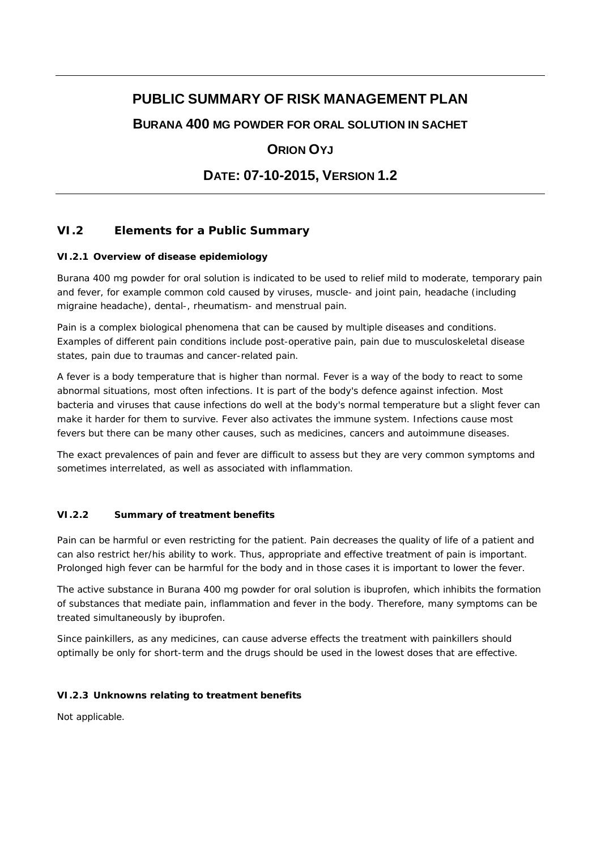# **PUBLIC SUMMARY OF RISK MANAGEMENT PLAN**

**BURANA 400 MG POWDER FOR ORAL SOLUTION IN SACHET**

# **ORION OYJ**

# **DATE: 07-10-2015, VERSION 1.2**

## **VI.2 Elements for a Public Summary**

#### *VI.2.1 Overview of disease epidemiology*

Burana 400 mg powder for oral solution is indicated to be used to relief mild to moderate, temporary pain and fever, for example common cold caused by viruses, muscle- and joint pain, headache (including migraine headache), dental-, rheumatism- and menstrual pain.

Pain is a complex biological phenomena that can be caused by multiple diseases and conditions. Examples of different pain conditions include post-operative pain, pain due to musculoskeletal disease states, pain due to traumas and cancer-related pain.

A fever is a body temperature that is higher than normal. Fever is a way of the body to react to some abnormal situations, most often infections. It is part of the body's defence against infection. Most bacteria and viruses that cause infections do well at the body's normal temperature but a slight fever can make it harder for them to survive. Fever also activates the immune system. Infections cause most fevers but there can be many other causes, such as medicines, cancers and autoimmune diseases.

The exact prevalences of pain and fever are difficult to assess but they are very common symptoms and sometimes interrelated, as well as associated with inflammation.

#### *VI.2.2 Summary of treatment benefits*

Pain can be harmful or even restricting for the patient. Pain decreases the quality of life of a patient and can also restrict her/his ability to work. Thus, appropriate and effective treatment of pain is important. Prolonged high fever can be harmful for the body and in those cases it is important to lower the fever.

The active substance in Burana 400 mg powder for oral solution is ibuprofen, which inhibits the formation of substances that mediate pain, inflammation and fever in the body. Therefore, many symptoms can be treated simultaneously by ibuprofen.

Since painkillers, as any medicines, can cause adverse effects the treatment with painkillers should optimally be only for short-term and the drugs should be used in the lowest doses that are effective.

#### *VI.2.3 Unknowns relating to treatment benefits*

Not applicable.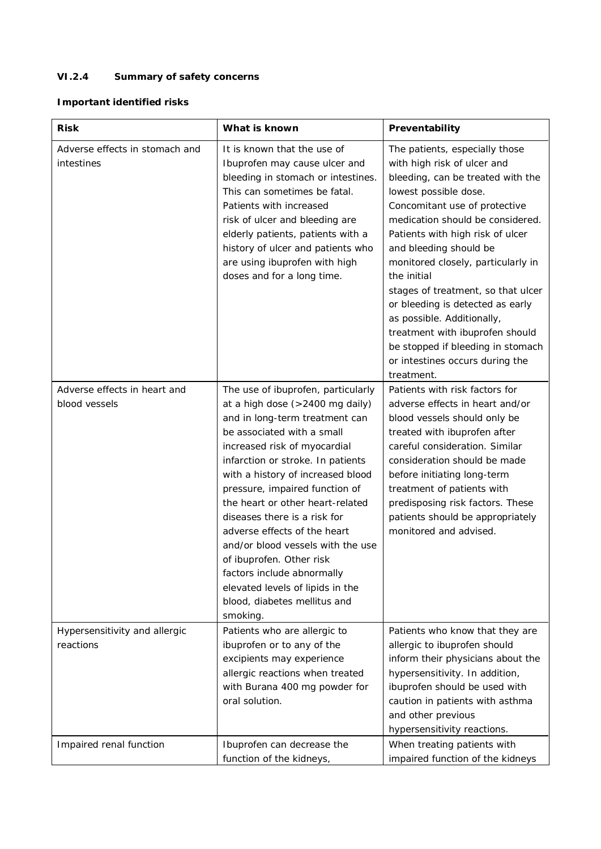# *VI.2.4 Summary of safety concerns*

## **Important identified risks**

| <b>Risk</b>                                   | What is known                                                                                                                                                                                                                                                                                                                                                                                                                                                                                                                                                        | Preventability                                                                                                                                                                                                                                                                                                                                                                                                                                                                                                                                       |
|-----------------------------------------------|----------------------------------------------------------------------------------------------------------------------------------------------------------------------------------------------------------------------------------------------------------------------------------------------------------------------------------------------------------------------------------------------------------------------------------------------------------------------------------------------------------------------------------------------------------------------|------------------------------------------------------------------------------------------------------------------------------------------------------------------------------------------------------------------------------------------------------------------------------------------------------------------------------------------------------------------------------------------------------------------------------------------------------------------------------------------------------------------------------------------------------|
| Adverse effects in stomach and<br>intestines  | It is known that the use of<br>Ibuprofen may cause ulcer and<br>bleeding in stomach or intestines.<br>This can sometimes be fatal.<br>Patients with increased<br>risk of ulcer and bleeding are<br>elderly patients, patients with a<br>history of ulcer and patients who<br>are using ibuprofen with high<br>doses and for a long time.                                                                                                                                                                                                                             | The patients, especially those<br>with high risk of ulcer and<br>bleeding, can be treated with the<br>lowest possible dose.<br>Concomitant use of protective<br>medication should be considered.<br>Patients with high risk of ulcer<br>and bleeding should be<br>monitored closely, particularly in<br>the initial<br>stages of treatment, so that ulcer<br>or bleeding is detected as early<br>as possible. Additionally,<br>treatment with ibuprofen should<br>be stopped if bleeding in stomach<br>or intestines occurs during the<br>treatment. |
| Adverse effects in heart and<br>blood vessels | The use of ibuprofen, particularly<br>at a high dose (>2400 mg daily)<br>and in long-term treatment can<br>be associated with a small<br>increased risk of myocardial<br>infarction or stroke. In patients<br>with a history of increased blood<br>pressure, impaired function of<br>the heart or other heart-related<br>diseases there is a risk for<br>adverse effects of the heart<br>and/or blood vessels with the use<br>of ibuprofen. Other risk<br>factors include abnormally<br>elevated levels of lipids in the<br>blood, diabetes mellitus and<br>smoking. | Patients with risk factors for<br>adverse effects in heart and/or<br>blood vessels should only be<br>treated with ibuprofen after<br>careful consideration. Similar<br>consideration should be made<br>before initiating long-term<br>treatment of patients with<br>predisposing risk factors. These<br>patients should be appropriately<br>monitored and advised.                                                                                                                                                                                   |
| Hypersensitivity and allergic<br>reactions    | Patients who are allergic to<br>ibuprofen or to any of the<br>excipients may experience<br>allergic reactions when treated<br>with Burana 400 mg powder for<br>oral solution.                                                                                                                                                                                                                                                                                                                                                                                        | Patients who know that they are<br>allergic to ibuprofen should<br>inform their physicians about the<br>hypersensitivity. In addition,<br>ibuprofen should be used with<br>caution in patients with asthma<br>and other previous<br>hypersensitivity reactions.                                                                                                                                                                                                                                                                                      |
| Impaired renal function                       | Ibuprofen can decrease the<br>function of the kidneys,                                                                                                                                                                                                                                                                                                                                                                                                                                                                                                               | When treating patients with<br>impaired function of the kidneys                                                                                                                                                                                                                                                                                                                                                                                                                                                                                      |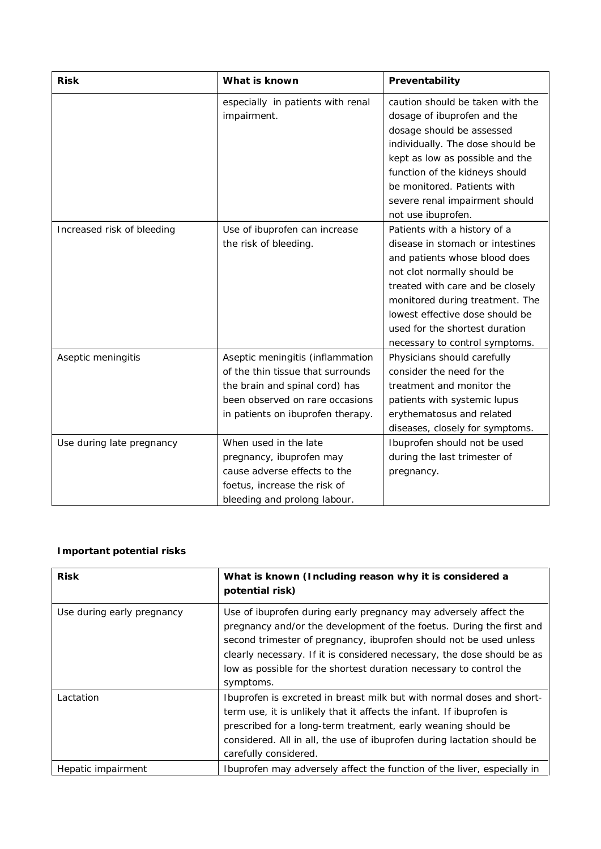| <b>Risk</b>                | What is known                                                                                                                                                                   | Preventability                                                                                                                                                                                                                                                                                                 |
|----------------------------|---------------------------------------------------------------------------------------------------------------------------------------------------------------------------------|----------------------------------------------------------------------------------------------------------------------------------------------------------------------------------------------------------------------------------------------------------------------------------------------------------------|
|                            | especially in patients with renal<br>impairment.                                                                                                                                | caution should be taken with the<br>dosage of ibuprofen and the<br>dosage should be assessed<br>individually. The dose should be<br>kept as low as possible and the<br>function of the kidneys should<br>be monitored. Patients with<br>severe renal impairment should<br>not use ibuprofen.                   |
| Increased risk of bleeding | Use of ibuprofen can increase<br>the risk of bleeding.                                                                                                                          | Patients with a history of a<br>disease in stomach or intestines<br>and patients whose blood does<br>not clot normally should be<br>treated with care and be closely<br>monitored during treatment. The<br>lowest effective dose should be<br>used for the shortest duration<br>necessary to control symptoms. |
| Aseptic meningitis         | Aseptic meningitis (inflammation<br>of the thin tissue that surrounds<br>the brain and spinal cord) has<br>been observed on rare occasions<br>in patients on ibuprofen therapy. | Physicians should carefully<br>consider the need for the<br>treatment and monitor the<br>patients with systemic lupus<br>erythematosus and related<br>diseases, closely for symptoms.                                                                                                                          |
| Use during late pregnancy  | When used in the late<br>pregnancy, ibuprofen may<br>cause adverse effects to the<br>foetus, increase the risk of<br>bleeding and prolong labour.                               | Ibuprofen should not be used<br>during the last trimester of<br>pregnancy.                                                                                                                                                                                                                                     |

### **Important potential risks**

| Risk                       | What is known (Including reason why it is considered a<br>potential risk)                                                                                                                                                                                                                                                                                                    |
|----------------------------|------------------------------------------------------------------------------------------------------------------------------------------------------------------------------------------------------------------------------------------------------------------------------------------------------------------------------------------------------------------------------|
| Use during early pregnancy | Use of ibuprofen during early pregnancy may adversely affect the<br>pregnancy and/or the development of the foetus. During the first and<br>second trimester of pregnancy, ibuprofen should not be used unless<br>clearly necessary. If it is considered necessary, the dose should be as<br>low as possible for the shortest duration necessary to control the<br>symptoms. |
| Lactation                  | Ibuprofen is excreted in breast milk but with normal doses and short-<br>term use, it is unlikely that it affects the infant. If ibuprofen is<br>prescribed for a long-term treatment, early weaning should be<br>considered. All in all, the use of ibuprofen during lactation should be<br>carefully considered.                                                           |
| Hepatic impairment         | Ibuprofen may adversely affect the function of the liver, especially in                                                                                                                                                                                                                                                                                                      |